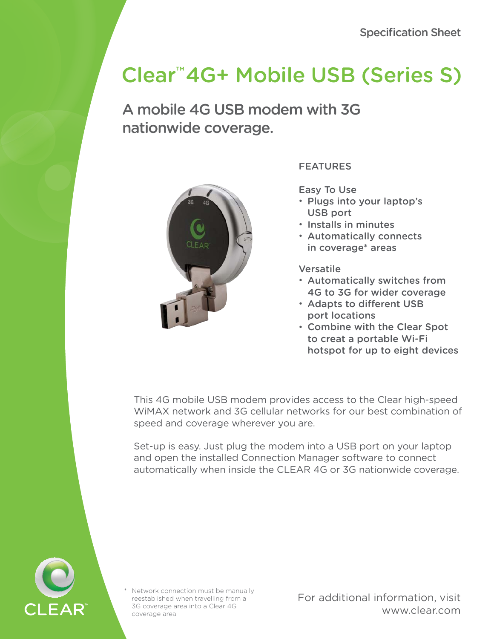# Clear™ 4G+ Mobile USB (Series S)

A mobile 4G USB modem with 3G nationwide coverage.



## FEATURES

Easy To Use

- Plugs into your laptop's USB port
- Installs in minutes
- Automatically connects in coverage\* areas

Versatile

- Automatically switches from 4G to 3G for wider coverage
- Adapts to different USB port locations
- Combine with the Clear Spot to creat a portable Wi-Fi hotspot for up to eight devices

This 4G mobile USB modem provides access to the Clear high-speed WiMAX network and 3G cellular networks for our best combination of speed and coverage wherever you are.

Set-up is easy. Just plug the modem into a USB port on your laptop and open the installed Connection Manager software to connect automatically when inside the CLEAR 4G or 3G nationwide coverage.



Network connection must be manually reestablished when travelling from a 3G coverage area into a Clear 4G coverage area.

For additional information, visit www.clear.com